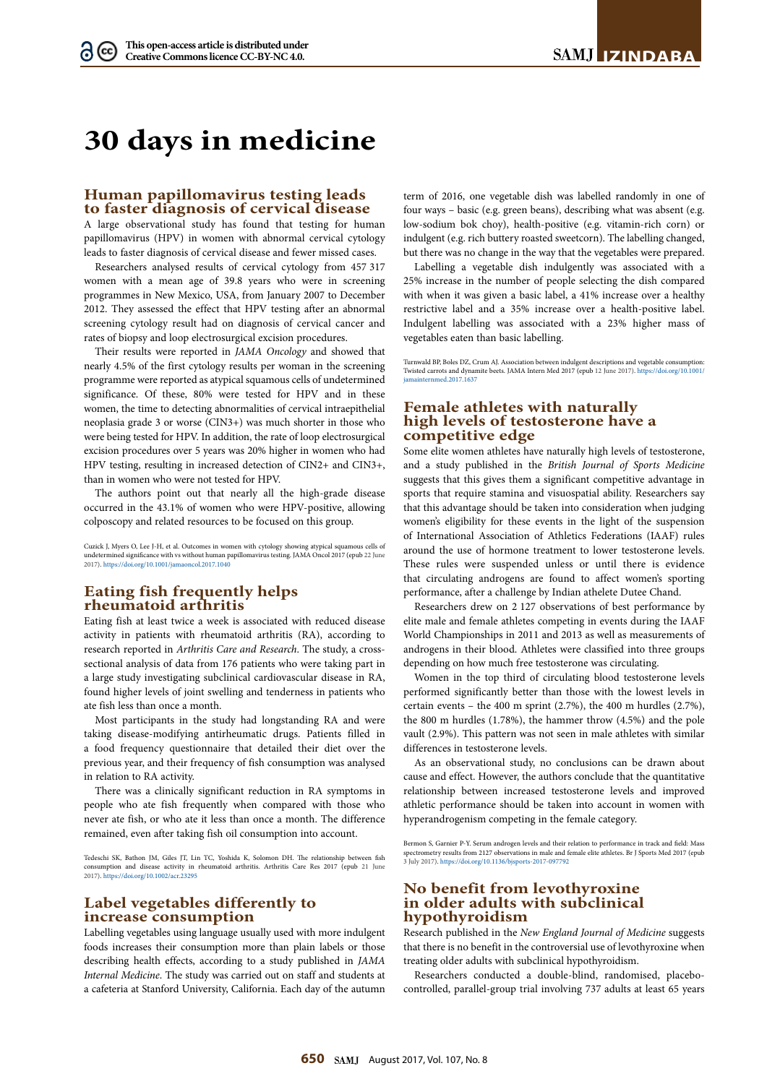# **30 days in medicine**

#### **Human papillomavirus testing leads to faster diagnosis of cervical disease**

A large observational study has found that testing for human papillomavirus (HPV) in women with abnormal cervical cytology leads to faster diagnosis of cervical disease and fewer missed cases.

Researchers analysed results of cervical cytology from 457 317 women with a mean age of 39.8 years who were in screening programmes in New Mexico, USA, from January 2007 to December 2012. They assessed the effect that HPV testing after an abnormal screening cytology result had on diagnosis of cervical cancer and rates of biopsy and loop electrosurgical excision procedures.

Their results were reported in *JAMA Oncology* and showed that nearly 4.5% of the first cytology results per woman in the screening programme were reported as atypical squamous cells of undetermined significance. Of these, 80% were tested for HPV and in these women, the time to detecting abnormalities of cervical intraepithelial neoplasia grade 3 or worse (CIN3+) was much shorter in those who were being tested for HPV. In addition, the rate of loop electrosurgical excision procedures over 5 years was 20% higher in women who had HPV testing, resulting in increased detection of CIN2+ and CIN3+, than in women who were not tested for HPV.

The authors point out that nearly all the high-grade disease occurred in the 43.1% of women who were HPV-positive, allowing colposcopy and related resources to be focused on this group.

Cuzick J, Myers O, Lee J-H, et al. Outcomes in women with cytology showing atypical squamous cells of undetermined significance with vs without human papillomavirus testing. JAMA Oncol 2017 (epub 22 June 2017).<https://doi.org/10.1001/jamaoncol.2017.1040>

## **Eating fish frequently helps rheumatoid arthritis**

Eating fish at least twice a week is associated with reduced disease activity in patients with rheumatoid arthritis (RA), according to research reported in *Arthritis Care and Research*. The study, a crosssectional analysis of data from 176 patients who were taking part in a large study investigating subclinical cardiovascular disease in RA, found higher levels of joint swelling and tenderness in patients who ate fish less than once a month.

Most participants in the study had longstanding RA and were taking disease-modifying antirheumatic drugs. Patients filled in a food frequency questionnaire that detailed their diet over the previous year, and their frequency of fish consumption was analysed in relation to RA activity.

There was a clinically significant reduction in RA symptoms in people who ate fish frequently when compared with those who never ate fish, or who ate it less than once a month. The difference remained, even after taking fish oil consumption into account.

Tedeschi SK, Bathon JM, Giles IT, Lin TC, Yoshida K, Solomon DH. The relationship between fish consumer and disease activity in rheumatoid arthritis. Arthritis Care Res 2017 (epub 21 June 2017).<https://doi.org/10.1002/acr.23295>

#### **Label vegetables differently to increase consumption**

Labelling vegetables using language usually used with more indulgent foods increases their consumption more than plain labels or those describing health effects, according to a study published in *JAMA Internal Medicine*. The study was carried out on staff and students at a cafeteria at Stanford University, California. Each day of the autumn

term of 2016, one vegetable dish was labelled randomly in one of four ways – basic (e.g. green beans), describing what was absent (e.g. low-sodium bok choy), health-positive (e.g. vitamin-rich corn) or indulgent (e.g. rich buttery roasted sweetcorn). The labelling changed, but there was no change in the way that the vegetables were prepared.

Labelling a vegetable dish indulgently was associated with a 25% increase in the number of people selecting the dish compared with when it was given a basic label, a 41% increase over a healthy restrictive label and a 35% increase over a health-positive label. Indulgent labelling was associated with a 23% higher mass of vegetables eaten than basic labelling.

Turnwald BP, Boles DZ, Crum AJ. Association between indulgent descriptions and vegetable consumption: Twisted carrots and dynamite beets. JAMA Intern Med 2017 (epub 12 June 2017). [https://doi.org/10.1001/](https://doi.org/10.1001/jamainternmed.2017.1637) [jamainternmed.2017.1637](https://doi.org/10.1001/jamainternmed.2017.1637)

# **Female athletes with naturally high levels of testosterone have a competitive edge**

Some elite women athletes have naturally high levels of testosterone, and a study published in the *British Journal of Sports Medicine*  suggests that this gives them a significant competitive advantage in sports that require stamina and visuospatial ability. Researchers say that this advantage should be taken into consideration when judging women's eligibility for these events in the light of the suspension of International Association of Athletics Federations (IAAF) rules around the use of hormone treatment to lower testosterone levels. These rules were suspended unless or until there is evidence that circulating androgens are found to affect women's sporting performance, after a challenge by Indian athelete Dutee Chand.

Researchers drew on 2 127 observations of best performance by elite male and female athletes competing in events during the IAAF World Championships in 2011 and 2013 as well as measurements of androgens in their blood. Athletes were classified into three groups depending on how much free testosterone was circulating.

Women in the top third of circulating blood testosterone levels performed significantly better than those with the lowest levels in certain events – the 400 m sprint (2.7%), the 400 m hurdles (2.7%), the 800 m hurdles (1.78%), the hammer throw (4.5%) and the pole vault (2.9%). This pattern was not seen in male athletes with similar differences in testosterone levels.

As an observational study, no conclusions can be drawn about cause and effect. However, the authors conclude that the quantitative relationship between increased testosterone levels and improved athletic performance should be taken into account in women with hyperandrogenism competing in the female category.

Bermon S, Garnier P-Y. Serum androgen levels and their relation to performance in track and field: Mass spectrometry results from 2127 observations in male and female elite athletes. Br J Sports Med 2017 (epub 3 July 2017). [https://doi.org/10.1136/bjsports-](https://doi.org/10.1136/bjsports-2017-097792)2017-097792

### **No benefit from levothyroxine in older adults with subclinical hypothyroidism**

Research published in the *New England Journal of Medicine* suggests that there is no benefit in the controversial use of levothyroxine when treating older adults with subclinical hypothyroidism.

Researchers conducted a double-blind, randomised, placebocontrolled, parallel-group trial involving 737 adults at least 65 years